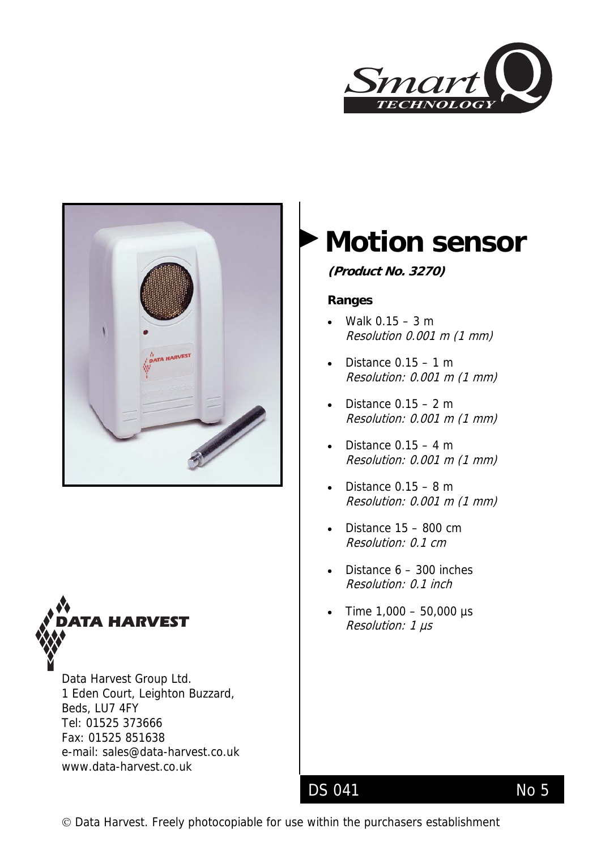





Data Harvest Group Ltd. 1 Eden Court, Leighton Buzzard, Beds, LU7 4FY Tel: 01525 373666 Fax: 01525 851638 e-mail: sales@data-harvest.co.uk www.data-harvest.co.uk

# **Motion sensor**

**(Product No. 3270)** 

### **Ranges**

- Walk 0.15 3 m Resolution 0.001 m (1 mm)
- Distance 0.15 1 m Resolution: 0.001 m (1 mm)
- Distance  $0.15 2$  m Resolution: 0.001 m (1 mm)
- Distance  $0.15 4$  m Resolution: 0.001 m (1 mm)
- Distance  $0.15 8$  m Resolution: 0.001 m (1 mm)
- Distance 15 800 cm Resolution: 0.1 cm
- Distance  $6 300$  inches Resolution: 0.1 inch
- **•** Time 1,000 50,000 µs<br>**A HARVEST** Resolution: 1 µs

# DS 041 No 5

© Data Harvest. Freely photocopiable for use within the purchasers establishment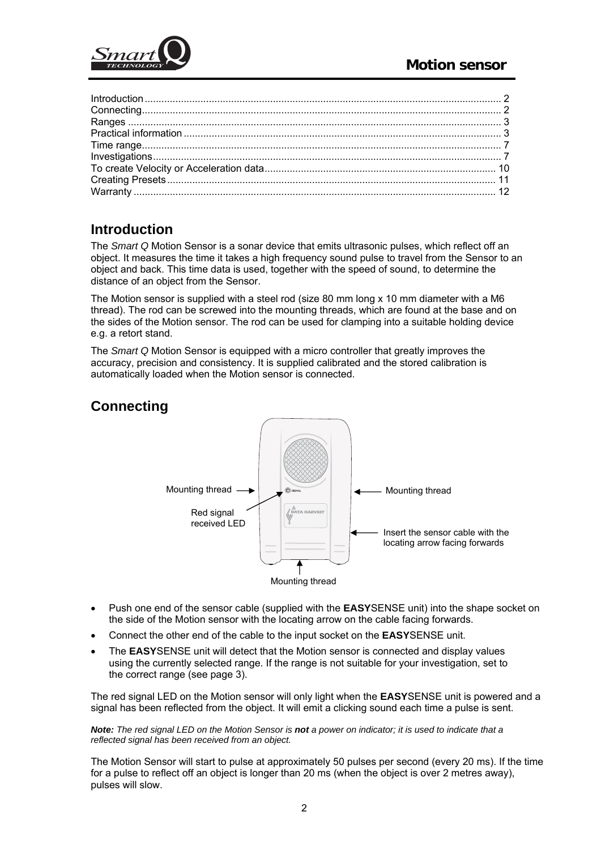<span id="page-1-0"></span>

# **Introduction**

The *Smart Q* Motion Sensor is a sonar device that emits ultrasonic pulses, which reflect off an object. It measures the time it takes a high frequency sound pulse to travel from the Sensor to an object and back. This time data is used, together with the speed of sound, to determine the distance of an object from the Sensor.

The Motion sensor is supplied with a steel rod (size 80 mm long x 10 mm diameter with a M6 thread). The rod can be screwed into the mounting threads, which are found at the base and on the sides of the Motion sensor. The rod can be used for clamping into a suitable holding device e.g. a retort stand.

The *Smart Q* Motion Sensor is equipped with a micro controller that greatly improves the accuracy, precision and consistency. It is supplied calibrated and the stored calibration is automatically loaded when the Motion sensor is connected.

# **Connecting**



- Push one end of the sensor cable (supplied with the **EASY**SENSE unit) into the shape socket on the side of the Motion sensor with the locating arrow on the cable facing forwards.
- Connect the other end of the cable to the input socket on the **EASY**SENSE unit.
- The **EASY**SENSE unit will detect that the Motion sensor is connected and display values using the currently selected range. If the range is not suitable for your investigation, set to the correct range (see page 3).

The red signal LED on the Motion sensor will only light when the **EASY**SENSE unit is powered and a signal has been reflected from the object. It will emit a clicking sound each time a pulse is sent.

*Note: The red signal LED on the Motion Sensor is not a power on indicator; it is used to indicate that a reflected signal has been received from an object.* 

The Motion Sensor will start to pulse at approximately 50 pulses per second (every 20 ms). If the time for a pulse to reflect off an object is longer than 20 ms (when the object is over 2 metres away), pulses will slow.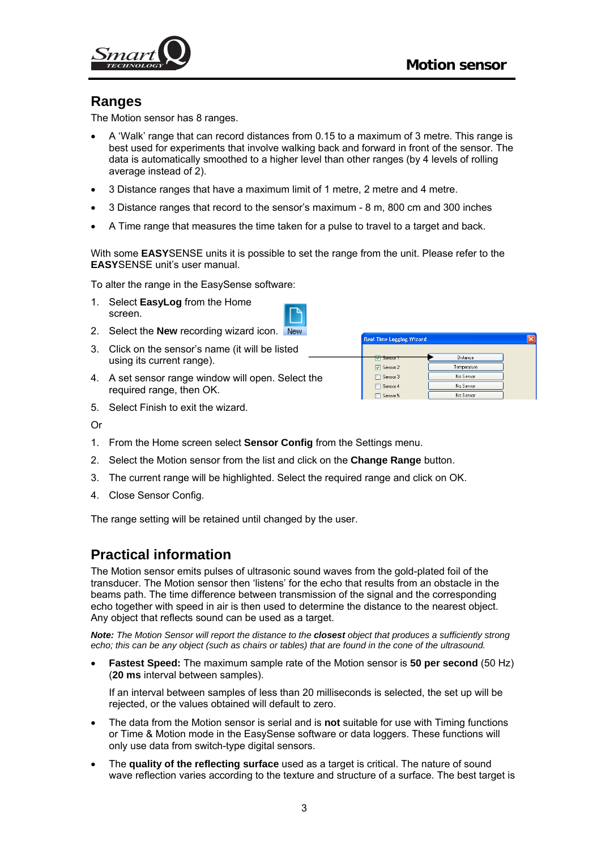<span id="page-2-0"></span>

## **Ranges**

The Motion sensor has 8 ranges.

- A 'Walk' range that can record distances from 0.15 to a maximum of 3 metre. This range is best used for experiments that involve walking back and forward in front of the sensor. The data is automatically smoothed to a higher level than other ranges (by 4 levels of rolling average instead of 2).
- 3 Distance ranges that have a maximum limit of 1 metre, 2 metre and 4 metre.
- 3 Distance ranges that record to the sensor's maximum 8 m, 800 cm and 300 inches
- A Time range that measures the time taken for a pulse to travel to a target and back.

With some **EASY**SENSE units it is possible to set the range from the unit. Please refer to the **EASY**SENSE unit's user manual.

To alter the range in the EasySense software:

1. Select **EasyLog** from the Home screen.



- 2. Select the **New** recording wizard icon.
- 3. Click on the sensor's name (it will be listed using its current range).
- 4. A set sensor range window will open. Select the required range, then OK.

| <b>Real Time Logging Wizard</b>   |             |  |
|-----------------------------------|-------------|--|
|                                   | Distance    |  |
| <del>Sensor 1</del><br>□ Sensor 2 | Temperature |  |
| Sensor 3                          | No Sensor   |  |
| Sensor 4                          | No Sensor   |  |
| Sensor 5                          | No Sensor   |  |

5. Select Finish to exit the wizard.

Or

- 1. From the Home screen select **Sensor Config** from the Settings menu.
- 2. Select the Motion sensor from the list and click on the **Change Range** button.
- 3. The current range will be highlighted. Select the required range and click on OK.
- 4. Close Sensor Config.

The range setting will be retained until changed by the user.

## **Practical information**

The Motion sensor emits pulses of ultrasonic sound waves from the gold-plated foil of the transducer. The Motion sensor then 'listens' for the echo that results from an obstacle in the beams path. The time difference between transmission of the signal and the corresponding echo together with speed in air is then used to determine the distance to the nearest object. Any object that reflects sound can be used as a target.

*Note: The Motion Sensor will report the distance to the closest object that produces a sufficiently strong echo; this can be any object (such as chairs or tables) that are found in the cone of the ultrasound.* 

• **Fastest Speed:** The maximum sample rate of the Motion sensor is **50 per second** (50 Hz) (**20 ms** interval between samples).

If an interval between samples of less than 20 milliseconds is selected, the set up will be rejected, or the values obtained will default to zero.

- The data from the Motion sensor is serial and is **not** suitable for use with Timing functions or Time & Motion mode in the EasySense software or data loggers. These functions will only use data from switch-type digital sensors.
- The **quality of the reflecting surface** used as a target is critical. The nature of sound wave reflection varies according to the texture and structure of a surface. The best target is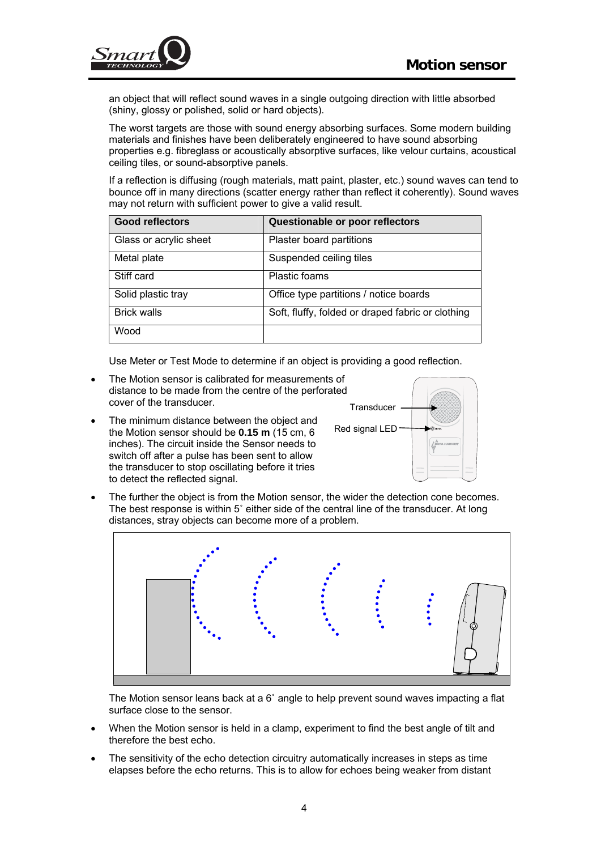

an object that will reflect sound waves in a single outgoing direction with little absorbed (shiny, glossy or polished, solid or hard objects).

The worst targets are those with sound energy absorbing surfaces. Some modern building materials and finishes have been deliberately engineered to have sound absorbing properties e.g. fibreglass or acoustically absorptive surfaces, like velour curtains, acoustical ceiling tiles, or sound-absorptive panels.

If a reflection is diffusing (rough materials, matt paint, plaster, etc.) sound waves can tend to bounce off in many directions (scatter energy rather than reflect it coherently). Sound waves may not return with sufficient power to give a valid result.

| <b>Good reflectors</b> | Questionable or poor reflectors                   |
|------------------------|---------------------------------------------------|
| Glass or acrylic sheet | Plaster board partitions                          |
| Metal plate            | Suspended ceiling tiles                           |
| Stiff card             | Plastic foams                                     |
| Solid plastic tray     | Office type partitions / notice boards            |
| <b>Brick walls</b>     | Soft, fluffy, folded or draped fabric or clothing |
| Wood                   |                                                   |

Use Meter or Test Mode to determine if an object is providing a good reflection.

- The Motion sensor is calibrated for measurements of distance to be made from the centre of the perforated cover of the transducer.
- The minimum distance between the object and the Motion sensor should be **0.15 m** (15 cm, 6 inches). The circuit inside the Sensor needs to switch off after a pulse has been sent to allow the transducer to stop oscillating before it tries to detect the reflected signal.



The further the object is from the Motion sensor, the wider the detection cone becomes. The best response is within 5˚ either side of the central line of the transducer. At long distances, stray objects can become more of a problem.



The Motion sensor leans back at a  $6^\circ$  angle to help prevent sound waves impacting a flat surface close to the sensor.

- When the Motion sensor is held in a clamp, experiment to find the best angle of tilt and therefore the best echo.
- The sensitivity of the echo detection circuitry automatically increases in steps as time elapses before the echo returns. This is to allow for echoes being weaker from distant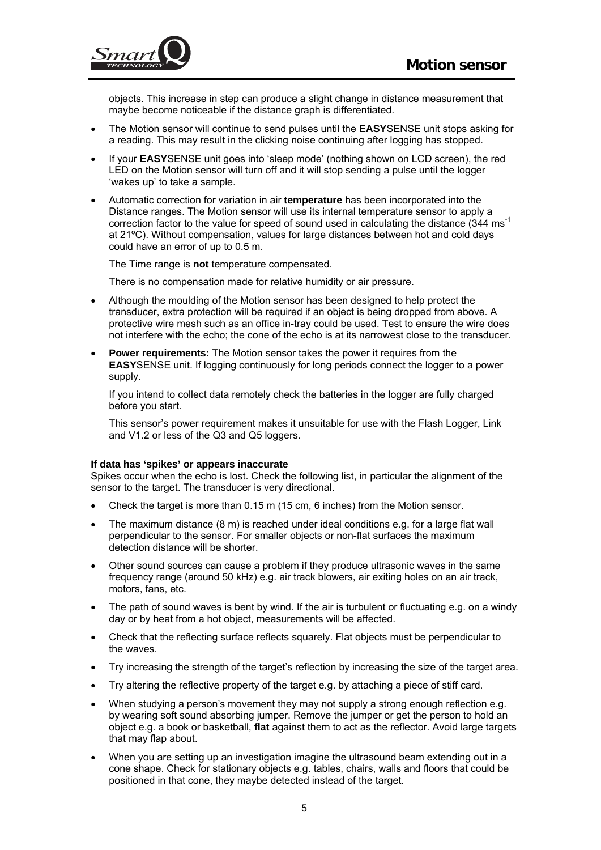

objects. This increase in step can produce a slight change in distance measurement that maybe become noticeable if the distance graph is differentiated.

- The Motion sensor will continue to send pulses until the **EASY**SENSE unit stops asking for a reading. This may result in the clicking noise continuing after logging has stopped.
- If your **EASY**SENSE unit goes into 'sleep mode' (nothing shown on LCD screen), the red LED on the Motion sensor will turn off and it will stop sending a pulse until the logger 'wakes up' to take a sample.
- Automatic correction for variation in air **temperature** has been incorporated into the Distance ranges. The Motion sensor will use its internal temperature sensor to apply a correction factor to the value for speed of sound used in calculating the distance  $(344 \text{ ms}^{-1})$ at 21ºC). Without compensation, values for large distances between hot and cold days could have an error of up to 0.5 m.

The Time range is **not** temperature compensated.

There is no compensation made for relative humidity or air pressure.

- Although the moulding of the Motion sensor has been designed to help protect the transducer, extra protection will be required if an object is being dropped from above. A protective wire mesh such as an office in-tray could be used. Test to ensure the wire does not interfere with the echo; the cone of the echo is at its narrowest close to the transducer.
- **Power requirements:** The Motion sensor takes the power it requires from the **EASY**SENSE unit. If logging continuously for long periods connect the logger to a power supply.

If you intend to collect data remotely check the batteries in the logger are fully charged before you start.

This sensor's power requirement makes it unsuitable for use with the Flash Logger, Link and V1.2 or less of the Q3 and Q5 loggers.

#### **If data has 'spikes' or appears inaccurate**

Spikes occur when the echo is lost. Check the following list, in particular the alignment of the sensor to the target. The transducer is very directional.

- Check the target is more than 0.15 m (15 cm, 6 inches) from the Motion sensor.
- The maximum distance (8 m) is reached under ideal conditions e.g. for a large flat wall perpendicular to the sensor. For smaller objects or non-flat surfaces the maximum detection distance will be shorter.
- Other sound sources can cause a problem if they produce ultrasonic waves in the same frequency range (around 50 kHz) e.g. air track blowers, air exiting holes on an air track, motors, fans, etc.
- The path of sound waves is bent by wind. If the air is turbulent or fluctuating e.g. on a windy day or by heat from a hot object, measurements will be affected.
- Check that the reflecting surface reflects squarely. Flat objects must be perpendicular to the waves.
- Try increasing the strength of the target's reflection by increasing the size of the target area.
- Try altering the reflective property of the target e.g. by attaching a piece of stiff card.
- When studying a person's movement they may not supply a strong enough reflection e.g. by wearing soft sound absorbing jumper. Remove the jumper or get the person to hold an object e.g. a book or basketball, **flat** against them to act as the reflector. Avoid large targets that may flap about.
- When you are setting up an investigation imagine the ultrasound beam extending out in a cone shape. Check for stationary objects e.g. tables, chairs, walls and floors that could be positioned in that cone, they maybe detected instead of the target.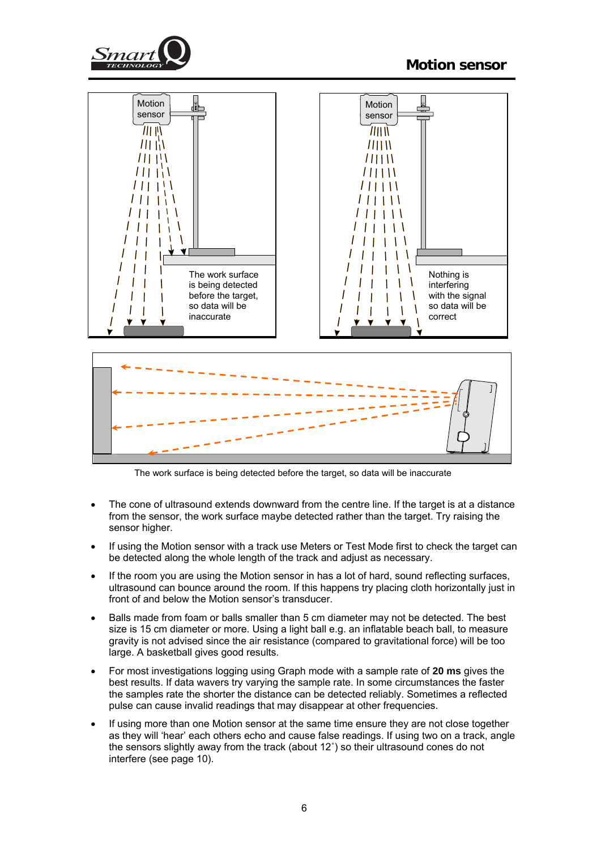



The work surface is being detected before the target, so data will be inaccurate

- The cone of ultrasound extends downward from the centre line. If the target is at a distance from the sensor, the work surface maybe detected rather than the target. Try raising the sensor higher.
- If using the Motion sensor with a track use Meters or Test Mode first to check the target can be detected along the whole length of the track and adjust as necessary.
- If the room you are using the Motion sensor in has a lot of hard, sound reflecting surfaces, ultrasound can bounce around the room. If this happens try placing cloth horizontally just in front of and below the Motion sensor's transducer.
- Balls made from foam or balls smaller than 5 cm diameter may not be detected. The best size is 15 cm diameter or more. Using a light ball e.g. an inflatable beach ball, to measure gravity is not advised since the air resistance (compared to gravitational force) will be too large. A basketball gives good results.
- For most investigations logging using Graph mode with a sample rate of **20 ms** gives the best results. If data wavers try varying the sample rate. In some circumstances the faster the samples rate the shorter the distance can be detected reliably. Sometimes a reflected pulse can cause invalid readings that may disappear at other frequencies.
- If using more than one Motion sensor at the same time ensure they are not close together as they will 'hear' each others echo and cause false readings. If using two on a track, angle the sensors slightly away from the track (about 12˚) so their ultrasound cones do not interfere (see page 10).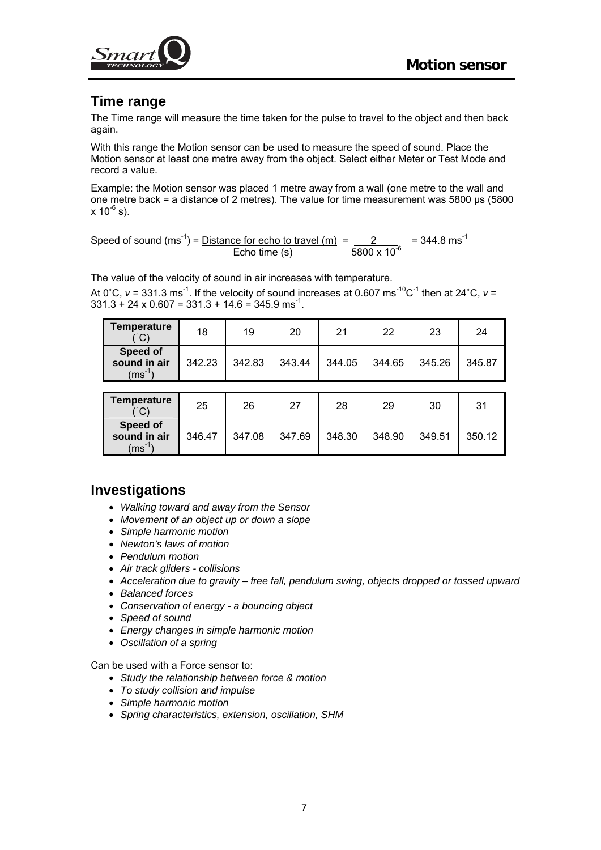<span id="page-6-0"></span>

## **Time range**

The Time range will measure the time taken for the pulse to travel to the object and then back again.

With this range the Motion sensor can be used to measure the speed of sound. Place the Motion sensor at least one metre away from the object. Select either Meter or Test Mode and record a value.

Example: the Motion sensor was placed 1 metre away from a wall (one metre to the wall and one metre back = a distance of 2 metres). The value for time measurement was 5800 µs (5800  $x 10^{-6}$  s).

Speed of sound  $(ms^{-1})$  = <u>Distance for echo to travel  $(m)$ </u> =  $\frac{2}{s}$  = 344.8 ms<sup>-1</sup> Echo time (s)  $5800 \times 10^{-6}$ 

The value of the velocity of sound in air increases with temperature.

At  $0^{\circ}$ C,  $v = 331.3$  ms<sup>-1</sup>. If the velocity of sound increases at 0.607 ms<sup>-10</sup>C<sup>-1</sup> then at 24<sup>°</sup>C,  $v =$  $331.3 + 24 \times 0.607 = 331.3 + 14.6 = 345.9$  ms<sup>-1</sup>.

| <b>Temperature</b><br>(°C)                     | 18     | 19     | 20     | 21     | 22     | 23     | 24     |
|------------------------------------------------|--------|--------|--------|--------|--------|--------|--------|
| Speed of<br>sound in air<br>$(ms^{-1})$        | 342.23 | 342.83 | 343.44 | 344.05 | 344.65 | 345.26 | 345.87 |
|                                                |        |        |        |        |        |        |        |
| <b>Temperature</b><br>(°C)                     | 25     | 26     | 27     | 28     | 29     | 30     | 31     |
| <b>Speed of</b><br>sound in air<br>$(ms^{-1})$ | 346.47 | 347.08 | 347.69 | 348.30 | 348.90 | 349.51 | 350.12 |

## **Investigations**

- *Walking toward and away from the Sensor*
- *Movement of an object up or down a slope*
- *Simple harmonic motion*
- *Newton's laws of motion*
- *Pendulum motion*
- *Air track gliders collisions*
- *Acceleration due to gravity free fall, pendulum swing, objects dropped or tossed upward*
- *Balanced forces*
- *Conservation of energy a bouncing object*
- *Speed of sound*
- *Energy changes in simple harmonic motion*
- *Oscillation of a spring*

Can be used with a Force sensor to:

- *Study the relationship between force & motion*
- *To study collision and impulse*
- *Simple harmonic motion*
- *Spring characteristics, extension, oscillation, SHM*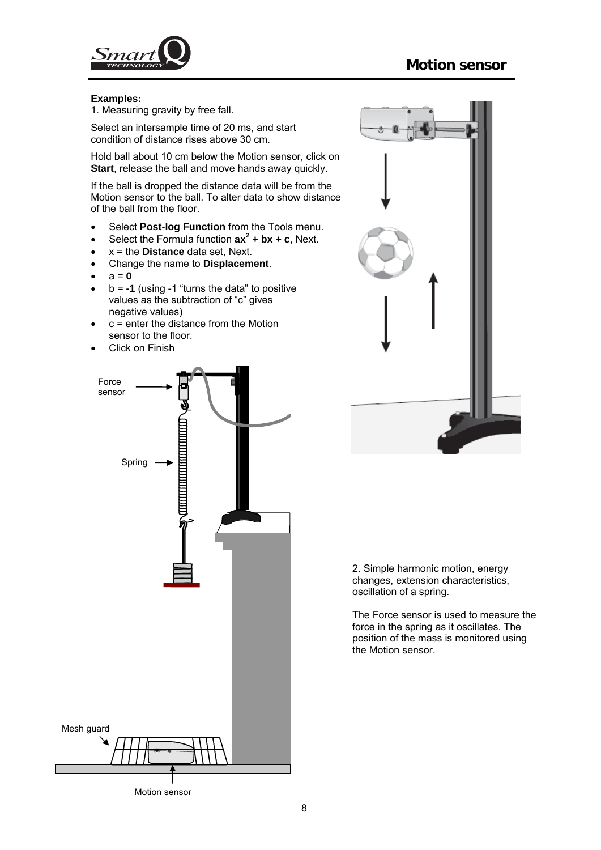

#### **Examples:**

1. Measuring gravity by free fall.

Select an intersample time of 20 ms, and start condition of distance rises above 30 cm.

Hold ball about 10 cm below the Motion sensor, click on **Start**, release the ball and move hands away quickly.

If the ball is dropped the distance data will be from the Motion sensor to the ball. To alter data to show distance of the ball from the floor.

- Select **Post-log Function** from the Tools menu.
- Select the Formula function  $ax^2 + bx + c$ , Next.
- x = the **Distance** data set, Next.
- Change the name to **Displacement**.
- $\bullet$   $a = 0$
- b = **-1** (using -1 "turns the data" to positive values as the subtraction of "c" gives negative values)
- $\bullet$   $\circ$  = enter the distance from the Motion sensor to the floor.
- Click on Finish



2. Simple harmonic motion, energy changes, extension characteristics, oscillation of a spring.

The Force sensor is used to measure the force in the spring as it oscillates. The position of the mass is monitored using the Motion sensor.

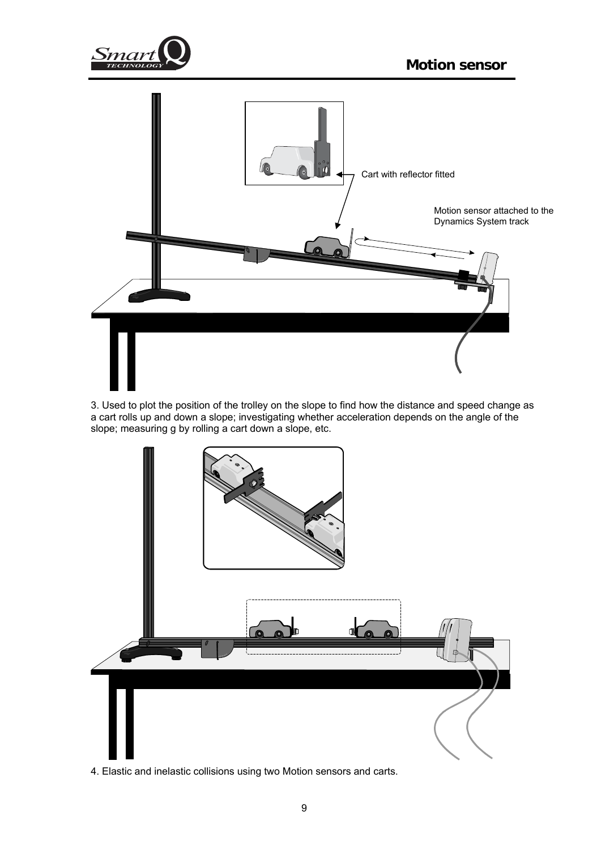



3. Used to plot the position of the trolley on the slope to find how the distance and speed change as a cart rolls up and down a slope; investigating whether acceleration depends on the angle of the slope; measuring g by rolling a cart down a slope, etc.



4. Elastic and inelastic collisions using two Motion sensors and carts.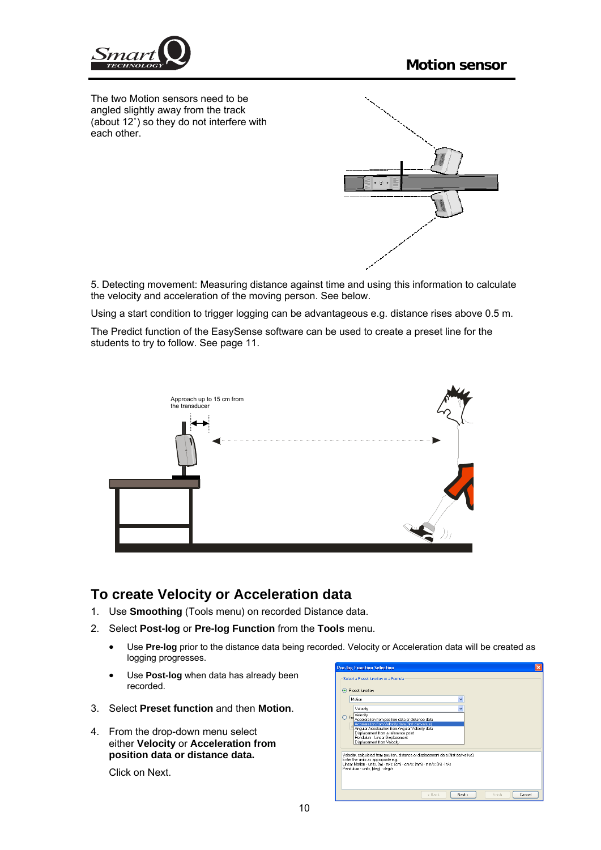<span id="page-9-0"></span>

The two Motion sensors need to be angled slightly away from the track (about 12˚) so they do not interfere with each other.



5. Detecting movement: Measuring distance against time and using this information to calculate the velocity and acceleration of the moving person. See below.

Using a start condition to trigger logging can be advantageous e.g. distance rises above 0.5 m.

The Predict function of the EasySense software can be used to create a preset line for the students to try to follow. See page 11.



## **To create Velocity or Acceleration data**

- 1. Use **Smoothing** (Tools menu) on recorded Distance data.
- 2. Select **Post-log** or **Pre-log Function** from the **Tools** menu.
	- Use **Pre-log** prior to the distance data being recorded. Velocity or Acceleration data will be created as logging progresses.
	- Use **Post-log** when data has already been recorded.
- 3. Select **Preset function** and then **Motion**.
- 4. From the drop-down menu select either **Velocity** or **Acceleration from position data or distance data.**

Click on Next.

| Select a Preset function or a Formula                                                                                                                                                                                                      |  |  |  |
|--------------------------------------------------------------------------------------------------------------------------------------------------------------------------------------------------------------------------------------------|--|--|--|
| ⊙ Preset function                                                                                                                                                                                                                          |  |  |  |
| Motion                                                                                                                                                                                                                                     |  |  |  |
| Velocity                                                                                                                                                                                                                                   |  |  |  |
| $\overline{\mathrm{FoR}}$                                                                                                                                                                                                                  |  |  |  |
| Acceleration from position data or distance data<br>Acceleration from Velocity data (first derivative)                                                                                                                                     |  |  |  |
| Angular Acceleration from Angular Velocity data                                                                                                                                                                                            |  |  |  |
| Displacement from a reference point<br>Pendulum - Linear Displacement                                                                                                                                                                      |  |  |  |
| Displacement from Velocity                                                                                                                                                                                                                 |  |  |  |
| Velocity, calculated from position, distance or displacement data (first derivative).<br>Enter the units as appropriate e.g.<br>Linear Motion - units, [m] - m/s; [cm] - cm/s; [mm] - mm/s; [in] - in/s<br>Pendulum - units, [deg] - deg/s |  |  |  |
|                                                                                                                                                                                                                                            |  |  |  |
|                                                                                                                                                                                                                                            |  |  |  |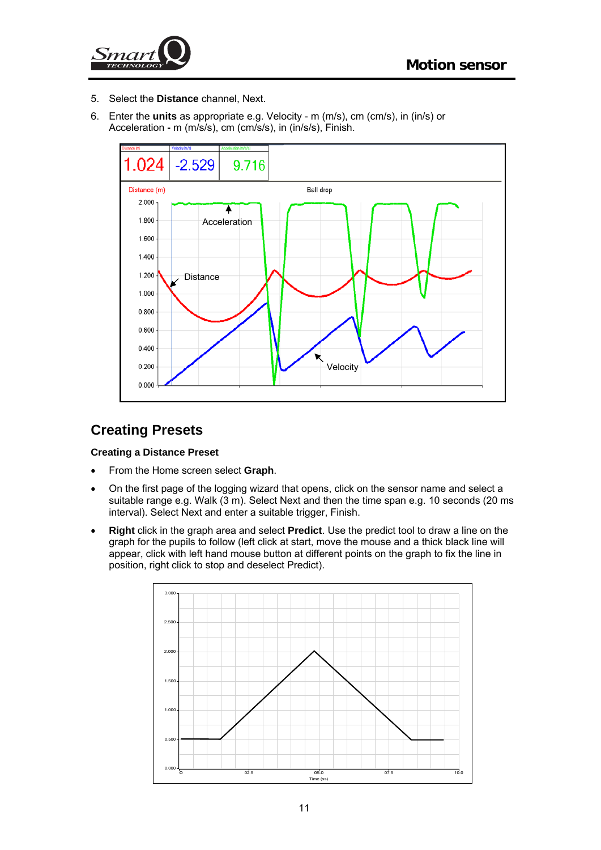<span id="page-10-0"></span>

- 5. Select the **Distance** channel, Next.
- 6. Enter the **units** as appropriate e.g. Velocity m (m/s), cm (cm/s), in (in/s) or Acceleration **-** m (m/s/s), cm (cm/s/s), in (in/s/s), Finish.



# **Creating Presets**

#### **Creating a Distance Preset**

- From the Home screen select **Graph**.
- On the first page of the logging wizard that opens, click on the sensor name and select a suitable range e.g. Walk (3 m). Select Next and then the time span e.g. 10 seconds (20 ms interval). Select Next and enter a suitable trigger, Finish.
- **Right** click in the graph area and select **Predict**. Use the predict tool to draw a line on the graph for the pupils to follow (left click at start, move the mouse and a thick black line will appear, click with left hand mouse button at different points on the graph to fix the line in position, right click to stop and deselect Predict).

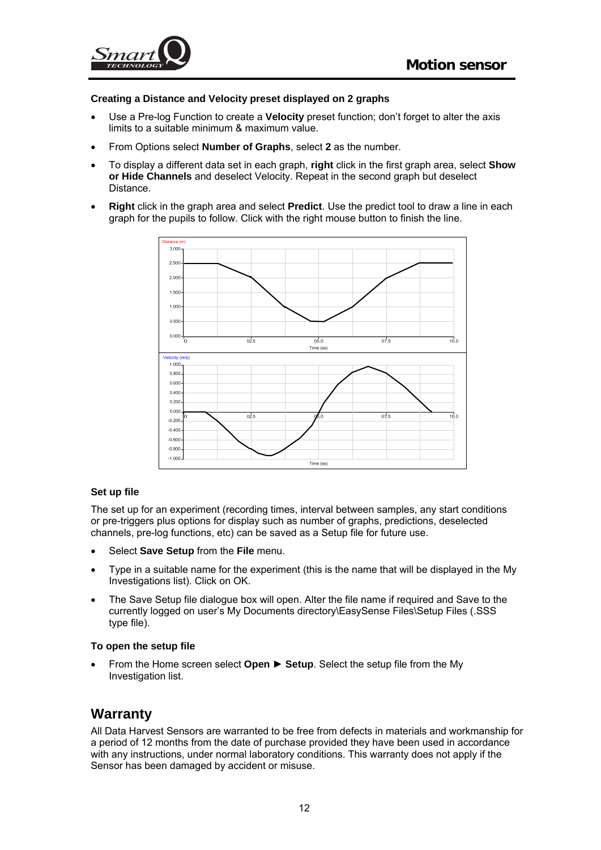<span id="page-11-0"></span>

#### **Creating a Distance and Velocity preset displayed on 2 graphs**

- Use a Pre-log Function to create a **Velocity** preset function; don't forget to alter the axis limits to a suitable minimum & maximum value.
- From Options select **Number of Graphs**, select **2** as the number.
- To display a different data set in each graph, **right** click in the first graph area, select **Show or Hide Channels** and deselect Velocity. Repeat in the second graph but deselect Distance.
- **Right** click in the graph area and select **Predict**. Use the predict tool to draw a line in each graph for the pupils to follow. Click with the right mouse button to finish the line.



#### **Set up file**

The set up for an experiment (recording times, interval between samples, any start conditions or pre-triggers plus options for display such as number of graphs, predictions, deselected channels, pre-log functions, etc) can be saved as a Setup file for future use.

- Select **Save Setup** from the **File** menu.
- Type in a suitable name for the experiment (this is the name that will be displayed in the My Investigations list). Click on OK.
- The Save Setup file dialogue box will open. Alter the file name if required and Save to the currently logged on user's My Documents directory\EasySense Files\Setup Files (.SSS type file).

#### **To open the setup file**

• From the Home screen select **Open** ► **Setup**. Select the setup file from the My Investigation list.

## **Warranty**

All Data Harvest Sensors are warranted to be free from defects in materials and workmanship for a period of 12 months from the date of purchase provided they have been used in accordance with any instructions, under normal laboratory conditions. This warranty does not apply if the Sensor has been damaged by accident or misuse.